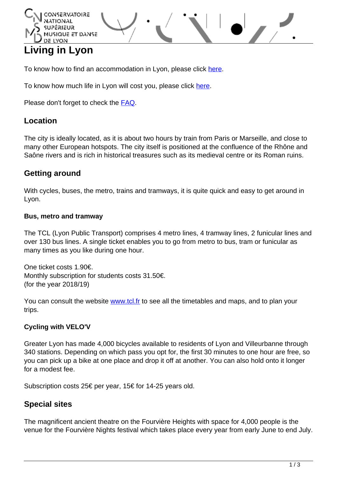## DE LYON **Living in Lyon**

To know how to find an accommodation in Lyon, please click [here](http://www.cnsmd-lyon.fr/en-2/students/housing).

To know how much life in Lyon will cost you, please click [here.](http://www.cnsmd-lyon.fr/en-2/students/students-annual-budget)

Please don't forget to check the [FAQ](http://www.cnsmd-lyon.fr/en-2/students/frequently-asked-questions).

**QUE ET DANSE** 

## **Location**

The city is ideally located, as it is about two hours by train from Paris or Marseille, and close to many other European hotspots. The city itself is positioned at the confluence of the Rhône and Saône rivers and is rich in historical treasures such as its medieval centre or its Roman ruins.

## **Getting around**

With cycles, buses, the metro, trains and tramways, it is quite quick and easy to get around in Lyon.

#### **Bus, metro and tramway**

The TCL (Lyon Public Transport) comprises 4 metro lines, 4 tramway lines, 2 funicular lines and over 130 bus lines. A single ticket enables you to go from metro to bus, tram or funicular as many times as you like during one hour.

One ticket costs 1.90€. Monthly subscription for students costs 31.50€. (for the year 2018/19)

You can consult the website [www.tcl.fr](htt://wwww.tcl.fr) to see all the timetables and maps, and to plan your trips.

## **Cycling with VELO'V**

Greater Lyon has made 4,000 bicycles available to residents of Lyon and Villeurbanne through 340 stations. Depending on which pass you opt for, the first 30 minutes to one hour are free, so you can pick up a bike at one place and drop it off at another. You can also hold onto it longer for a modest fee.

Subscription costs 25€ per year, 15€ for 14-25 years old.

# **Special sites**

The magnificent ancient theatre on the Fourvière Heights with space for 4,000 people is the venue for the Fourvière Nights festival which takes place every year from early June to end July.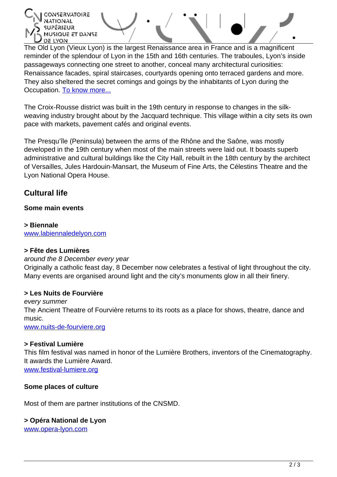MUSIQUE ET DANSE DE LYON

The Old Lyon (Vieux Lyon) is the largest Renaissance area in France and is a magnificent reminder of the splendour of Lyon in the 15th and 16th centuries. The traboules, Lyon's inside passageways connecting one street to another, conceal many architectural curiosities: Renaissance facades, spiral staircases, courtyards opening onto terraced gardens and more. They also sheltered the secret comings and goings by the inhabitants of Lyon during the Occupation. [To know more...](http://www.vieux-lyon.org/webphone/menu-us.htm)

The Croix-Rousse district was built in the 19th century in response to changes in the silkweaving industry brought about by the Jacquard technique. This village within a city sets its own pace with markets, pavement cafés and original events.

The Presqu'île (Peninsula) between the arms of the Rhône and the Saône, was mostly developed in the 19th century when most of the main streets were laid out. It boasts superb administrative and cultural buildings like the City Hall, rebuilt in the 18th century by the architect of Versailles, Jules Hardouin-Mansart, the Museum of Fine Arts, the Célestins Theatre and the Lyon National Opera House.

# **Cultural life**

## **Some main events**

**> Biennale** [www.labiennaledelyon.com](http://www.labiennaledelyon.com)

## **> Fête des Lumières**

## around the 8 December every year

Originally a catholic feast day, 8 December now celebrates a festival of light throughout the city. Many events are organised around light and the city's monuments glow in all their finery.

## **> Les Nuits de Fourvière**

every summer The Ancient Theatre of Fourvière returns to its roots as a place for shows, theatre, dance and music. [www.nuits-de-fourviere.org](http://www.nuits-de-fourviere.org)

## **> Festival Lumière**

This film festival was named in honor of the Lumière Brothers, inventors of the Cinematography. It awards the Lumière Award. [www.festival-lumiere.org](http://www.festival-lumiere.org/)

## **Some places of culture**

Most of them are partner institutions of the CNSMD.

#### **> Opéra National de Lyon**

[www.opera-lyon.com](http://www.opera-lyon.com)